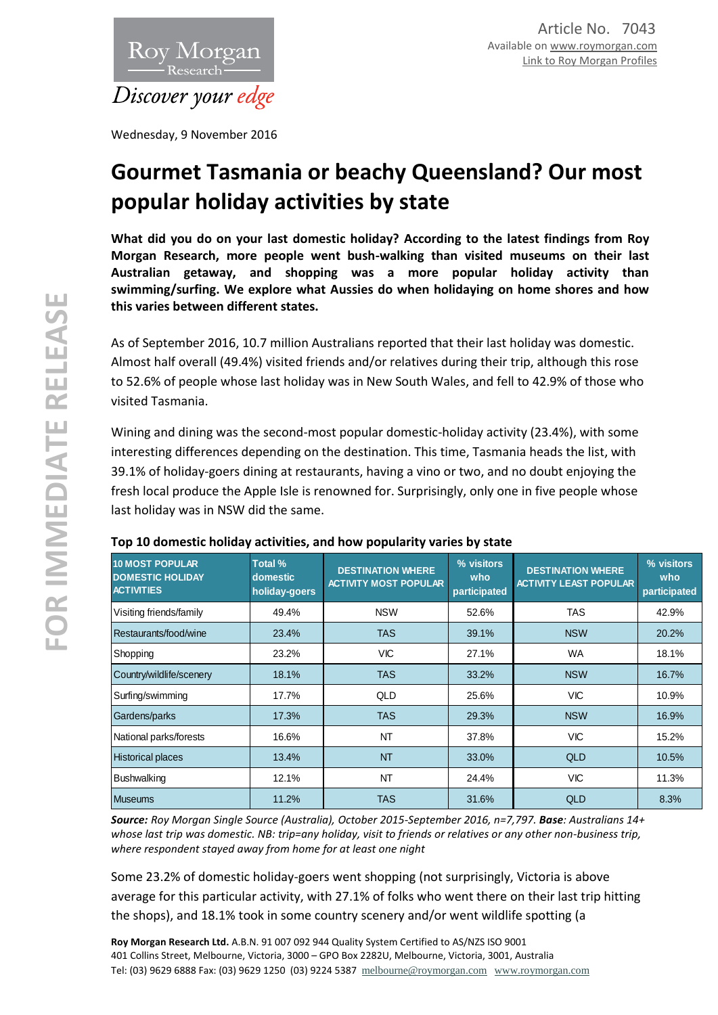

Wednesday, 9 November 2016

# **Gourmet Tasmania or beachy Queensland? Our most popular holiday activities by state**

**What did you do on your last domestic holiday? According to the latest findings from Roy Morgan Research, more people went bush-walking than visited museums on their last Australian getaway, and shopping was a more popular holiday activity than swimming/surfing. We explore what Aussies do when holidaying on home shores and how this varies between different states.**

As of September 2016, 10.7 million Australians reported that their last holiday was domestic. Almost half overall (49.4%) visited friends and/or relatives during their trip, although this rose to 52.6% of people whose last holiday was in New South Wales, and fell to 42.9% of those who visited Tasmania.

Wining and dining was the second-most popular domestic-holiday activity (23.4%), with some interesting differences depending on the destination. This time, Tasmania heads the list, with 39.1% of holiday-goers dining at restaurants, having a vino or two, and no doubt enjoying the fresh local produce the Apple Isle is renowned for. Surprisingly, only one in five people whose last holiday was in NSW did the same.

| <b>10 MOST POPULAR</b><br><b>DOMESTIC HOLIDAY</b><br><b>ACTIVITIES</b> | Total %<br>domestic<br>holiday-goers | <b>DESTINATION WHERE</b><br><b>ACTIVITY MOST POPULAR</b> | % visitors<br>who<br>participated | <b>DESTINATION WHERE</b><br><b>ACTIVITY LEAST POPULAR</b> | % visitors<br>who<br>participated |
|------------------------------------------------------------------------|--------------------------------------|----------------------------------------------------------|-----------------------------------|-----------------------------------------------------------|-----------------------------------|
| Visiting friends/family                                                | 49.4%                                | <b>NSW</b>                                               | 52.6%                             | TAS                                                       | 42.9%                             |
| Restaurants/food/wine                                                  | 23.4%                                | <b>TAS</b>                                               | 39.1%                             | <b>NSW</b>                                                | 20.2%                             |
| Shopping                                                               | 23.2%                                | <b>VIC</b>                                               | 27.1%                             | <b>WA</b>                                                 | 18.1%                             |
| Country/wildlife/scenery                                               | 18.1%                                | <b>TAS</b>                                               | 33.2%                             | <b>NSW</b>                                                | 16.7%                             |
| Surfing/swimming                                                       | 17.7%                                | <b>QLD</b>                                               | 25.6%                             | <b>VIC</b>                                                | 10.9%                             |
| Gardens/parks                                                          | 17.3%                                | <b>TAS</b>                                               | 29.3%                             | <b>NSW</b>                                                | 16.9%                             |
| National parks/forests                                                 | 16.6%                                | <b>NT</b>                                                | 37.8%                             | <b>VIC</b>                                                | 15.2%                             |
| <b>Historical places</b>                                               | 13.4%                                | <b>NT</b>                                                | 33.0%                             | <b>QLD</b>                                                | 10.5%                             |
| Bushwalking                                                            | 12.1%                                | <b>NT</b>                                                | 24.4%                             | <b>VIC</b>                                                | 11.3%                             |
| <b>Museums</b>                                                         | 11.2%                                | <b>TAS</b>                                               | 31.6%                             | <b>QLD</b>                                                | 8.3%                              |

# **Top 10 domestic holiday activities, and how popularity varies by state**

*Source: Roy Morgan Single Source (Australia), October 2015-September 2016, n=7,797. Base: Australians 14+ whose last trip was domestic. NB: trip=any holiday, visit to friends or relatives or any other non-business trip, where respondent stayed away from home for at least one night*

Some 23.2% of domestic holiday-goers went shopping (not surprisingly, Victoria is above average for this particular activity, with 27.1% of folks who went there on their last trip hitting the shops), and 18.1% took in some country scenery and/or went wildlife spotting (a

**Roy Morgan Research Ltd.** A.B.N. 91 007 092 944 Quality System Certified to AS/NZS ISO 9001 401 Collins Street, Melbourne, Victoria, 3000 – GPO Box 2282U, Melbourne, Victoria, 3001, Australia Tel: (03) 9629 6888 Fax: (03) 9629 1250 (03) 9224 5387 [melbourne@roymorgan.com](mailto:melbourne@roymorgan.com) [www.roymorgan.com](http://www.roymorgan.com/)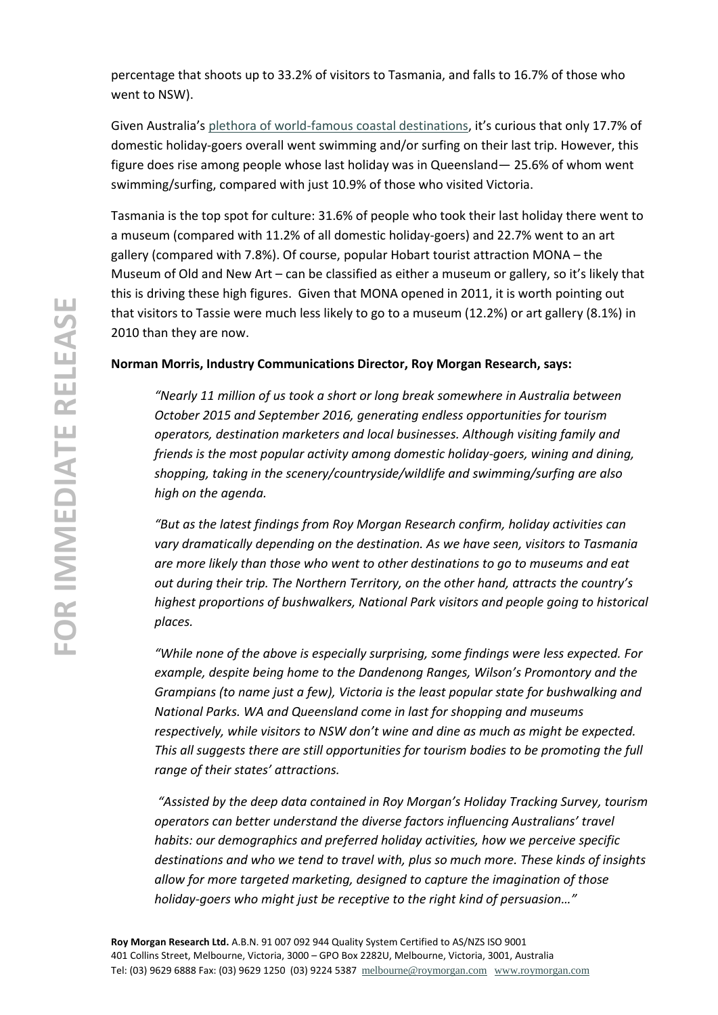percentage that shoots up to 33.2% of visitors to Tasmania, and falls to 16.7% of those who went to NSW).

Given Australia's [plethora of world-famous coastal destinations](http://www.roymorgan.com.au/findings/6994-australia-budget-friendly-beach-holiday-bonanza-201610110907), it's curious that only 17.7% of domestic holiday-goers overall went swimming and/or surfing on their last trip. However, this figure does rise among people whose last holiday was in Queensland— 25.6% of whom went swimming/surfing, compared with just 10.9% of those who visited Victoria.

Tasmania is the top spot for culture: 31.6% of people who took their last holiday there went to a museum (compared with 11.2% of all domestic holiday-goers) and 22.7% went to an art gallery (compared with 7.8%). Of course, popular Hobart tourist attraction MONA – the Museum of Old and New Art – can be classified as either a museum or gallery, so it's likely that this is driving these high figures. Given that MONA opened in 2011, it is worth pointing out that visitors to Tassie were much less likely to go to a museum (12.2%) or art gallery (8.1%) in 2010 than they are now.

## **Norman Morris, Industry Communications Director, Roy Morgan Research, says:**

*"Nearly 11 million of us took a short or long break somewhere in Australia between October 2015 and September 2016, generating endless opportunities for tourism operators, destination marketers and local businesses. Although visiting family and friends is the most popular activity among domestic holiday-goers, wining and dining, shopping, taking in the scenery/countryside/wildlife and swimming/surfing are also high on the agenda.*

*"But as the latest findings from Roy Morgan Research confirm, holiday activities can vary dramatically depending on the destination. As we have seen, visitors to Tasmania are more likely than those who went to other destinations to go to museums and eat out during their trip. The Northern Territory, on the other hand, attracts the country's highest proportions of bushwalkers, National Park visitors and people going to historical places.* 

*"While none of the above is especially surprising, some findings were less expected. For example, despite being home to the Dandenong Ranges, Wilson's Promontory and the Grampians (to name just a few), Victoria is the least popular state for bushwalking and National Parks. WA and Queensland come in last for shopping and museums respectively, while visitors to NSW don't wine and dine as much as might be expected. This all suggests there are still opportunities for tourism bodies to be promoting the full range of their states' attractions.*

*"Assisted by the deep data contained in Roy Morgan's Holiday Tracking Survey, tourism operators can better understand the diverse factors influencing Australians' travel habits: our demographics and preferred holiday activities, how we perceive specific destinations and who we tend to travel with, plus so much more. These kinds of insights allow for more targeted marketing, designed to capture the imagination of those holiday-goers who might just be receptive to the right kind of persuasion…"*